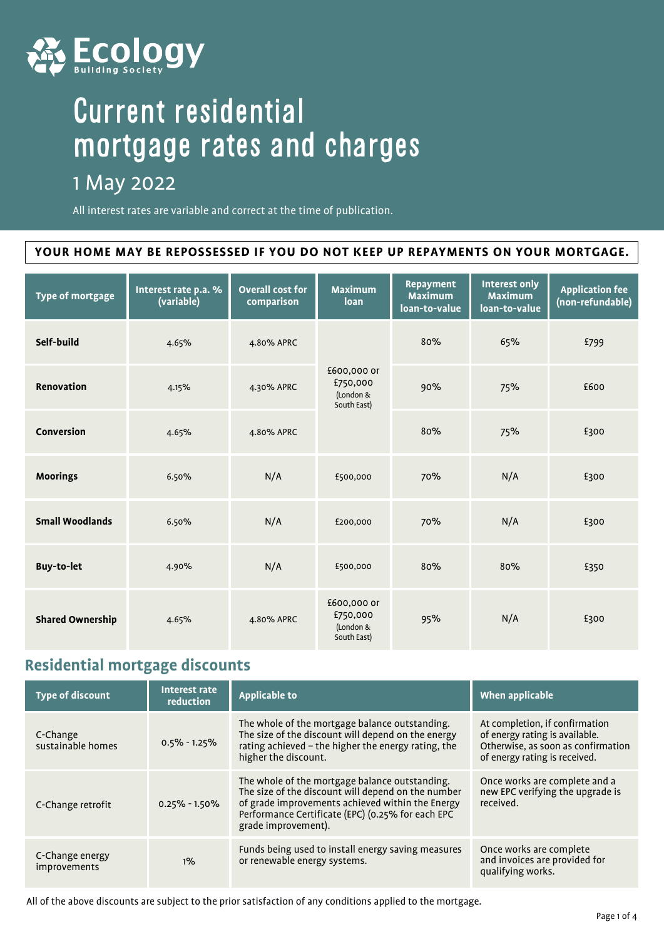

## Current residential mortgage rates and charges

## 1 May 2022

All interest rates are variable and correct at the time of publication.

#### **YOUR HOME MAY BE REPOSSESSED IF YOU DO NOT KEEP UP REPAYMENTS ON YOUR MORTGAGE.**

| <b>Type of mortgage</b> | Interest rate p.a. %<br>(variable) | <b>Overall cost for</b><br>comparison | <b>Maximum</b><br>loan                              | <b>Repayment</b><br><b>Maximum</b><br>loan-to-value | <b>Interest only</b><br><b>Maximum</b><br>loan-to-value | <b>Application fee</b><br>(non-refundable) |
|-------------------------|------------------------------------|---------------------------------------|-----------------------------------------------------|-----------------------------------------------------|---------------------------------------------------------|--------------------------------------------|
| Self-build              | 4.65%                              | 4.80% APRC                            |                                                     | 80%                                                 | 65%                                                     | £799                                       |
| Renovation              | 4.15%                              | 4.30% APRC                            | £600,000 or<br>£750,000<br>(London &<br>South East) | 90%                                                 | 75%                                                     | £600                                       |
| Conversion              | 4.65%                              | 4.80% APRC                            |                                                     | 80%                                                 | 75%                                                     | £300                                       |
| <b>Moorings</b>         | 6.50%                              | N/A                                   | £500,000                                            | 70%                                                 | N/A                                                     | £300                                       |
| <b>Small Woodlands</b>  | 6.50%                              | N/A                                   | £200,000                                            | 70%                                                 | N/A                                                     | £300                                       |
| <b>Buy-to-let</b>       | 4.90%                              | N/A                                   | £500,000                                            | 80%                                                 | 80%                                                     | £350                                       |
| <b>Shared Ownership</b> | 4.65%                              | 4.80% APRC                            | £600,000 or<br>£750,000<br>(London &<br>South East) | 95%                                                 | N/A                                                     | £300                                       |

### **Residential mortgage discounts**

| <b>Type of discount</b>         | Interest rate<br>reduction | <b>Applicable to</b>                                                                                                                                                                                                                 | When applicable                                                                                                                         |
|---------------------------------|----------------------------|--------------------------------------------------------------------------------------------------------------------------------------------------------------------------------------------------------------------------------------|-----------------------------------------------------------------------------------------------------------------------------------------|
| C-Change<br>sustainable homes   | $0.5\% - 1.25\%$           | The whole of the mortgage balance outstanding.<br>The size of the discount will depend on the energy<br>rating achieved - the higher the energy rating, the<br>higher the discount.                                                  | At completion, if confirmation<br>of energy rating is available.<br>Otherwise, as soon as confirmation<br>of energy rating is received. |
| C-Change retrofit               | $0.25\% - 1.50\%$          | The whole of the mortgage balance outstanding.<br>The size of the discount will depend on the number<br>of grade improvements achieved within the Energy<br>Performance Certificate (EPC) (0.25% for each EPC<br>grade improvement). | Once works are complete and a<br>new EPC verifying the upgrade is<br>received.                                                          |
| C-Change energy<br>improvements | $1\%$                      | Funds being used to install energy saving measures<br>or renewable energy systems.                                                                                                                                                   | Once works are complete<br>and invoices are provided for<br>qualifying works.                                                           |

All of the above discounts are subject to the prior satisfaction of any conditions applied to the mortgage.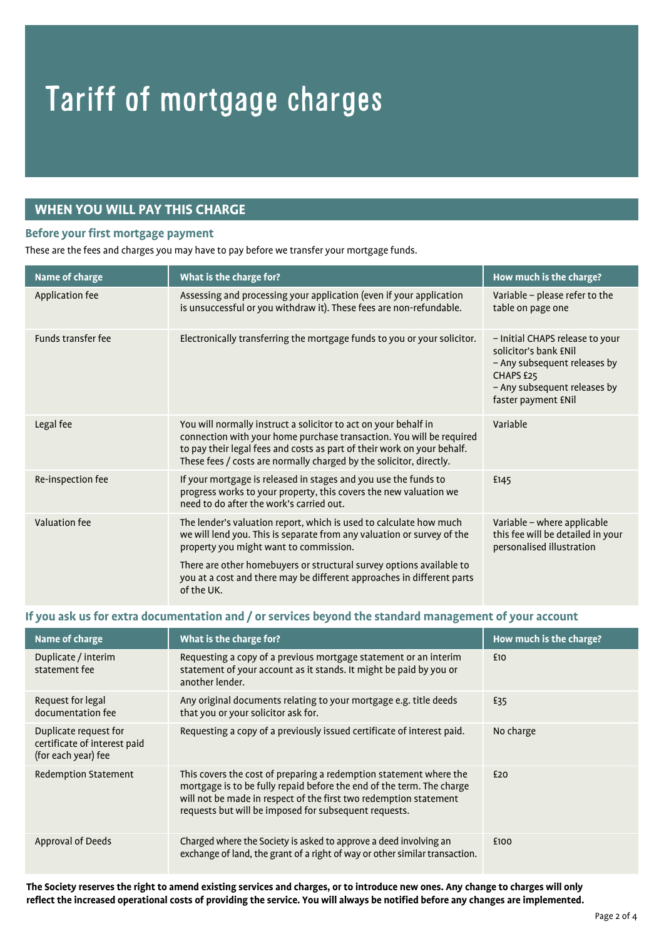# Tariff of mortgage charges

#### **WHEN YOU WILL PAY THIS CHARGE**

#### **Before your first mortgage payment**

These are the fees and charges you may have to pay before we transfer your mortgage funds.

| Name of charge            | What is the charge for?                                                                                                                                                                                                                                                                   | How much is the charge?                                                                                                                                      |
|---------------------------|-------------------------------------------------------------------------------------------------------------------------------------------------------------------------------------------------------------------------------------------------------------------------------------------|--------------------------------------------------------------------------------------------------------------------------------------------------------------|
| Application fee           | Assessing and processing your application (even if your application<br>is unsuccessful or you withdraw it). These fees are non-refundable.                                                                                                                                                | Variable - please refer to the<br>table on page one                                                                                                          |
| <b>Funds transfer fee</b> | Electronically transferring the mortgage funds to you or your solicitor.                                                                                                                                                                                                                  | - Initial CHAPS release to your<br>solicitor's bank ENil<br>- Any subsequent releases by<br>CHAPS £25<br>- Any subsequent releases by<br>faster payment £Nil |
| Legal fee                 | You will normally instruct a solicitor to act on your behalf in<br>connection with your home purchase transaction. You will be required<br>to pay their legal fees and costs as part of their work on your behalf.<br>These fees / costs are normally charged by the solicitor, directly. | Variable                                                                                                                                                     |
| Re-inspection fee         | If your mortgage is released in stages and you use the funds to<br>progress works to your property, this covers the new valuation we<br>need to do after the work's carried out.                                                                                                          | £145                                                                                                                                                         |
| Valuation fee             | The lender's valuation report, which is used to calculate how much<br>we will lend you. This is separate from any valuation or survey of the<br>property you might want to commission.                                                                                                    | Variable - where applicable<br>this fee will be detailed in your<br>personalised illustration                                                                |
|                           | There are other homebuyers or structural survey options available to<br>you at a cost and there may be different approaches in different parts<br>of the UK.                                                                                                                              |                                                                                                                                                              |

#### **If you ask us for extra documentation and / or services beyond the standard management of your account**

| Name of charge                                                               | What is the charge for?                                                                                                                                                                                                                                                   | How much is the charge? |
|------------------------------------------------------------------------------|---------------------------------------------------------------------------------------------------------------------------------------------------------------------------------------------------------------------------------------------------------------------------|-------------------------|
| Duplicate / interim<br>statement fee                                         | Requesting a copy of a previous mortgage statement or an interim<br>statement of your account as it stands. It might be paid by you or<br>another lender.                                                                                                                 | £10                     |
| Request for legal<br>documentation fee                                       | Any original documents relating to your mortgage e.g. title deeds<br>that you or your solicitor ask for.                                                                                                                                                                  | £35                     |
| Duplicate request for<br>certificate of interest paid<br>(for each year) fee | Requesting a copy of a previously issued certificate of interest paid.                                                                                                                                                                                                    | No charge               |
| Redemption Statement                                                         | This covers the cost of preparing a redemption statement where the<br>mortgage is to be fully repaid before the end of the term. The charge<br>will not be made in respect of the first two redemption statement<br>requests but will be imposed for subsequent requests. | £20                     |
| Approval of Deeds                                                            | Charged where the Society is asked to approve a deed involving an<br>exchange of land, the grant of a right of way or other similar transaction.                                                                                                                          | £100                    |

**The Society reserves the right to amend existing services and charges, or to introduce new ones. Any change to charges will only reflect the increased operational costs of providing the service. You will always be notified before any changes are implemented.**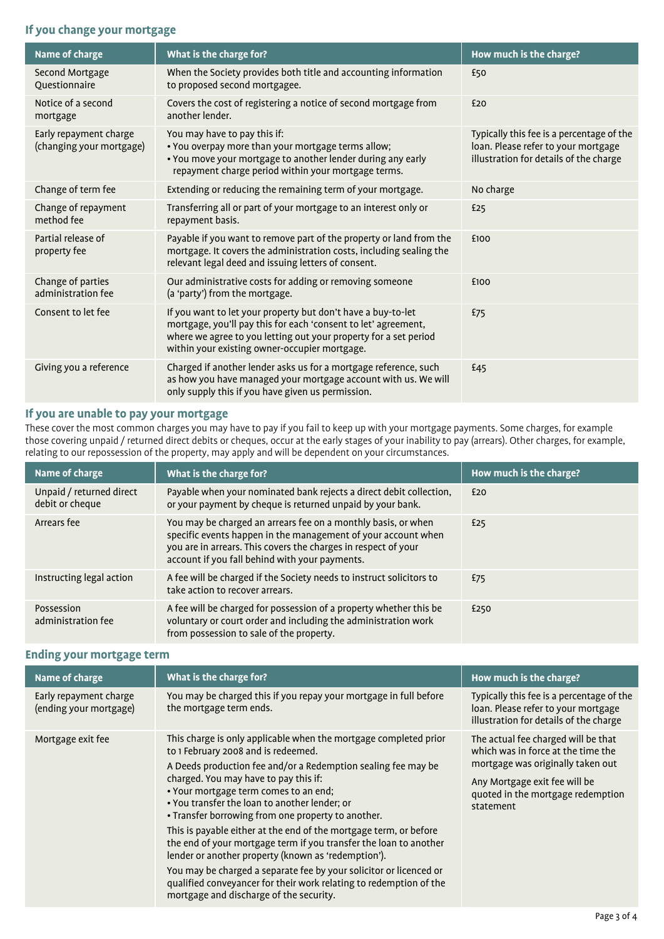#### **If you change your mortgage**

| Name of charge                                     | What is the charge for?                                                                                                                                                                                                                             | How much is the charge?                                                                                                    |
|----------------------------------------------------|-----------------------------------------------------------------------------------------------------------------------------------------------------------------------------------------------------------------------------------------------------|----------------------------------------------------------------------------------------------------------------------------|
| Second Mortgage<br>Ouestionnaire                   | When the Society provides both title and accounting information<br>to proposed second mortgagee.                                                                                                                                                    | £50                                                                                                                        |
| Notice of a second<br>mortgage                     | Covers the cost of registering a notice of second mortgage from<br>another lender.                                                                                                                                                                  | £20                                                                                                                        |
| Early repayment charge<br>(changing your mortgage) | You may have to pay this if:<br>• You overpay more than your mortgage terms allow;<br>• You move your mortgage to another lender during any early<br>repayment charge period within your mortgage terms.                                            | Typically this fee is a percentage of the<br>loan. Please refer to your mortgage<br>illustration for details of the charge |
| Change of term fee                                 | Extending or reducing the remaining term of your mortgage.                                                                                                                                                                                          | No charge                                                                                                                  |
| Change of repayment<br>method fee                  | Transferring all or part of your mortgage to an interest only or<br>repayment basis.                                                                                                                                                                | £25                                                                                                                        |
| Partial release of<br>property fee                 | Payable if you want to remove part of the property or land from the<br>mortgage. It covers the administration costs, including sealing the<br>relevant legal deed and issuing letters of consent.                                                   | £100                                                                                                                       |
| Change of parties<br>administration fee            | Our administrative costs for adding or removing someone<br>(a 'party') from the mortgage.                                                                                                                                                           | £100                                                                                                                       |
| Consent to let fee                                 | If you want to let your property but don't have a buy-to-let<br>mortgage, you'll pay this for each 'consent to let' agreement,<br>where we agree to you letting out your property for a set period<br>within your existing owner-occupier mortgage. | £75                                                                                                                        |
| Giving you a reference                             | Charged if another lender asks us for a mortgage reference, such<br>as how you have managed your mortgage account with us. We will<br>only supply this if you have given us permission.                                                             | £45                                                                                                                        |
|                                                    |                                                                                                                                                                                                                                                     |                                                                                                                            |

#### **If you are unable to pay your mortgage**

These cover the most common charges you may have to pay if you fail to keep up with your mortgage payments. Some charges, for example those covering unpaid / returned direct debits or cheques, occur at the early stages of your inability to pay (arrears). Other charges, for example, relating to our repossession of the property, may apply and will be dependent on your circumstances.

| Name of charge                              | What is the charge for?                                                                                                                                                                                                                            | How much is the charge? |
|---------------------------------------------|----------------------------------------------------------------------------------------------------------------------------------------------------------------------------------------------------------------------------------------------------|-------------------------|
| Unpaid / returned direct<br>debit or cheque | Payable when your nominated bank rejects a direct debit collection,<br>or your payment by cheque is returned unpaid by your bank.                                                                                                                  | £20                     |
| Arrears fee                                 | You may be charged an arrears fee on a monthly basis, or when<br>specific events happen in the management of your account when<br>you are in arrears. This covers the charges in respect of your<br>account if you fall behind with your payments. | £25                     |
| Instructing legal action                    | A fee will be charged if the Society needs to instruct solicitors to<br>take action to recover arrears.                                                                                                                                            | £75                     |
| Possession<br>administration fee            | A fee will be charged for possession of a property whether this be<br>voluntary or court order and including the administration work<br>from possession to sale of the property.                                                                   | £250                    |

#### **Ending your mortgage term**

| Name of charge                                   | What is the charge for?                                                                                                                                                                                                                                                                                                                                                                                                                                                                                                                                                                                                                                                                                                                                   | How much is the charge?                                                                                                                                                                           |
|--------------------------------------------------|-----------------------------------------------------------------------------------------------------------------------------------------------------------------------------------------------------------------------------------------------------------------------------------------------------------------------------------------------------------------------------------------------------------------------------------------------------------------------------------------------------------------------------------------------------------------------------------------------------------------------------------------------------------------------------------------------------------------------------------------------------------|---------------------------------------------------------------------------------------------------------------------------------------------------------------------------------------------------|
| Early repayment charge<br>(ending your mortgage) | You may be charged this if you repay your mortgage in full before<br>the mortgage term ends.                                                                                                                                                                                                                                                                                                                                                                                                                                                                                                                                                                                                                                                              | Typically this fee is a percentage of the<br>loan. Please refer to your mortgage<br>illustration for details of the charge                                                                        |
| Mortgage exit fee                                | This charge is only applicable when the mortgage completed prior<br>to 1 February 2008 and is redeemed.<br>A Deeds production fee and/or a Redemption sealing fee may be<br>charged. You may have to pay this if:<br>• Your mortgage term comes to an end;<br>• You transfer the loan to another lender; or<br>• Transfer borrowing from one property to another.<br>This is payable either at the end of the mortgage term, or before<br>the end of your mortgage term if you transfer the loan to another<br>lender or another property (known as 'redemption').<br>You may be charged a separate fee by your solicitor or licenced or<br>qualified conveyancer for their work relating to redemption of the<br>mortgage and discharge of the security. | The actual fee charged will be that<br>which was in force at the time the<br>mortgage was originally taken out<br>Any Mortgage exit fee will be<br>quoted in the mortgage redemption<br>statement |